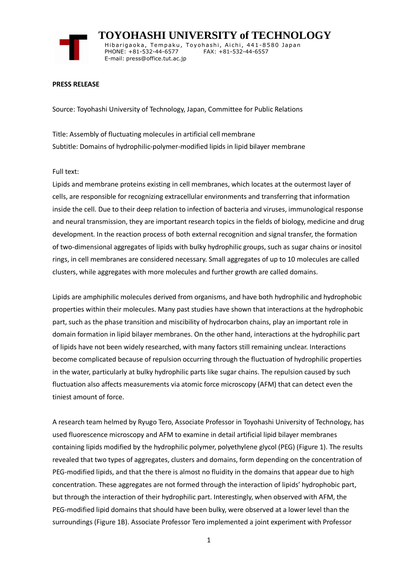

 **TOYOHASHI UNIVERSITY of TECHNOLOGY** Hibarigaoka, Tempaku, Toyohashi, Aichi, 441-8580 Japan PHONE: +81-532-44-6577 FAX: +81-532-44-6557 E-mail: press@office.tut.ac.jp

### **PRESS RELEASE**

Source: Toyohashi University of Technology, Japan, Committee for Public Relations

Title: Assembly of fluctuating molecules in artificial cell membrane Subtitle: Domains of hydrophilic-polymer-modified lipids in lipid bilayer membrane

### Full text:

Lipids and membrane proteins existing in cell membranes, which locates at the outermost layer of cells, are responsible for recognizing extracellular environments and transferring that information inside the cell. Due to their deep relation to infection of bacteria and viruses, immunological response and neural transmission, they are important research topics in the fields of biology, medicine and drug development. In the reaction process of both external recognition and signal transfer, the formation of two-dimensional aggregates of lipids with bulky hydrophilic groups, such as sugar chains or inositol rings, in cell membranes are considered necessary. Small aggregates of up to 10 molecules are called clusters, while aggregates with more molecules and further growth are called domains.

Lipids are amphiphilic molecules derived from organisms, and have both hydrophilic and hydrophobic properties within their molecules. Many past studies have shown that interactions at the hydrophobic part, such as the phase transition and miscibility of hydrocarbon chains, play an important role in domain formation in lipid bilayer membranes. On the other hand, interactions at the hydrophilic part of lipids have not been widely researched, with many factors still remaining unclear. Interactions become complicated because of repulsion occurring through the fluctuation of hydrophilic properties in the water, particularly at bulky hydrophilic parts like sugar chains. The repulsion caused by such fluctuation also affects measurements via atomic force microscopy (AFM) that can detect even the tiniest amount of force.

A research team helmed by Ryugo Tero, Associate Professor in Toyohashi University of Technology, has used fluorescence microscopy and AFM to examine in detail artificial lipid bilayer membranes containing lipids modified by the hydrophilic polymer, polyethylene glycol (PEG) (Figure 1). The results revealed that two types of aggregates, clusters and domains, form depending on the concentration of PEG-modified lipids, and that the there is almost no fluidity in the domains that appear due to high concentration. These aggregates are not formed through the interaction of lipids' hydrophobic part, but through the interaction of their hydrophilic part. Interestingly, when observed with AFM, the PEG-modified lipid domains that should have been bulky, were observed at a lower level than the surroundings (Figure 1B). Associate Professor Tero implemented a joint experiment with Professor

1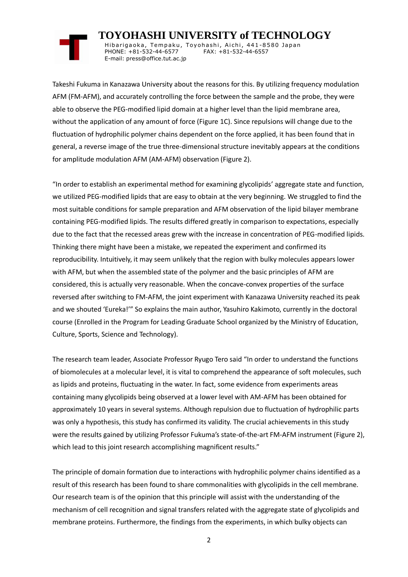## **TOYOHASHI UNIVERSITY of TECHNOLOGY**

Hibarigaoka, Tempaku, Toyohashi, Aichi, 441-8580 Japan PHONE: +81-532-44-6577 FAX: +81-532-44-6557 E-mail: press@office.tut.ac.jp

Takeshi Fukuma in Kanazawa University about the reasons for this. By utilizing frequency modulation AFM (FM-AFM), and accurately controlling the force between the sample and the probe, they were able to observe the PEG-modified lipid domain at a higher level than the lipid membrane area, without the application of any amount of force (Figure 1C). Since repulsions will change due to the fluctuation of hydrophilic polymer chains dependent on the force applied, it has been found that in general, a reverse image of the true three-dimensional structure inevitably appears at the conditions for amplitude modulation AFM (AM-AFM) observation (Figure 2).

"In order to establish an experimental method for examining glycolipids' aggregate state and function, we utilized PEG-modified lipids that are easy to obtain at the very beginning. We struggled to find the most suitable conditions for sample preparation and AFM observation of the lipid bilayer membrane containing PEG-modified lipids. The results differed greatly in comparison to expectations, especially due to the fact that the recessed areas grew with the increase in concentration of PEG-modified lipids. Thinking there might have been a mistake, we repeated the experiment and confirmed its reproducibility. Intuitively, it may seem unlikely that the region with bulky molecules appears lower with AFM, but when the assembled state of the polymer and the basic principles of AFM are considered, this is actually very reasonable. When the concave-convex properties of the surface reversed after switching to FM-AFM, the joint experiment with Kanazawa University reached its peak and we shouted 'Eureka!'" So explains the main author, Yasuhiro Kakimoto, currently in the doctoral course (Enrolled in the Program for Leading Graduate School organized by the Ministry of Education, Culture, Sports, Science and Technology).

The research team leader, Associate Professor Ryugo Tero said "In order to understand the functions of biomolecules at a molecular level, it is vital to comprehend the appearance of soft molecules, such as lipids and proteins, fluctuating in the water. In fact, some evidence from experiments areas containing many glycolipids being observed at a lower level with AM-AFM has been obtained for approximately 10 years in several systems. Although repulsion due to fluctuation of hydrophilic parts was only a hypothesis, this study has confirmed its validity. The crucial achievements in this study were the results gained by utilizing Professor Fukuma's state-of-the-art FM-AFM instrument (Figure 2), which lead to this joint research accomplishing magnificent results."

The principle of domain formation due to interactions with hydrophilic polymer chains identified as a result of this research has been found to share commonalities with glycolipids in the cell membrane. Our research team is of the opinion that this principle will assist with the understanding of the mechanism of cell recognition and signal transfers related with the aggregate state of glycolipids and membrane proteins. Furthermore, the findings from the experiments, in which bulky objects can

2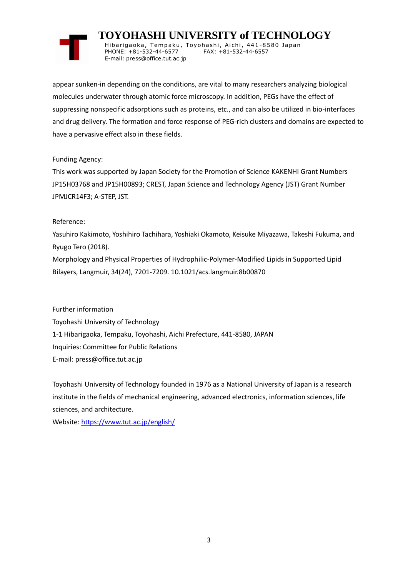# **TOYOHASHI UNIVERSITY of TECHNOLOGY**

Hibarigaoka, Tempaku, Toyohashi, Aichi, 441-8580 Japan PHONE: +81-532-44-6577 FAX: +81-532-44-6557 E-mail: press@office.tut.ac.jp

appear sunken-in depending on the conditions, are vital to many researchers analyzing biological molecules underwater through atomic force microscopy. In addition, PEGs have the effect of suppressing nonspecific adsorptions such as proteins, etc., and can also be utilized in bio-interfaces and drug delivery. The formation and force response of PEG-rich clusters and domains are expected to have a pervasive effect also in these fields.

## Funding Agency:

This work was supported by Japan Society for the Promotion of Science KAKENHI Grant Numbers JP15H03768 and JP15H00893; CREST, Japan Science and Technology Agency (JST) Grant Number JPMJCR14F3; A-STEP, JST.

## Reference:

Yasuhiro Kakimoto, Yoshihiro Tachihara, Yoshiaki Okamoto, Keisuke Miyazawa, Takeshi Fukuma, and Ryugo Tero (2018). Morphology and Physical Properties of Hydrophilic-Polymer-Modified Lipids in Supported Lipid Bilayers, Langmuir, 34(24), 7201-7209. 10.1021/acs.langmuir.8b00870

Further information Toyohashi University of Technology 1-1 Hibarigaoka, Tempaku, Toyohashi, Aichi Prefecture, 441-8580, JAPAN Inquiries: Committee for Public Relations E-mail: press@office.tut.ac.jp

Toyohashi University of Technology founded in 1976 as a National University of Japan is a research institute in the fields of mechanical engineering, advanced electronics, information sciences, life sciences, and architecture.

Website[: https://www.tut.ac.jp/english/](https://www.tut.ac.jp/english/)